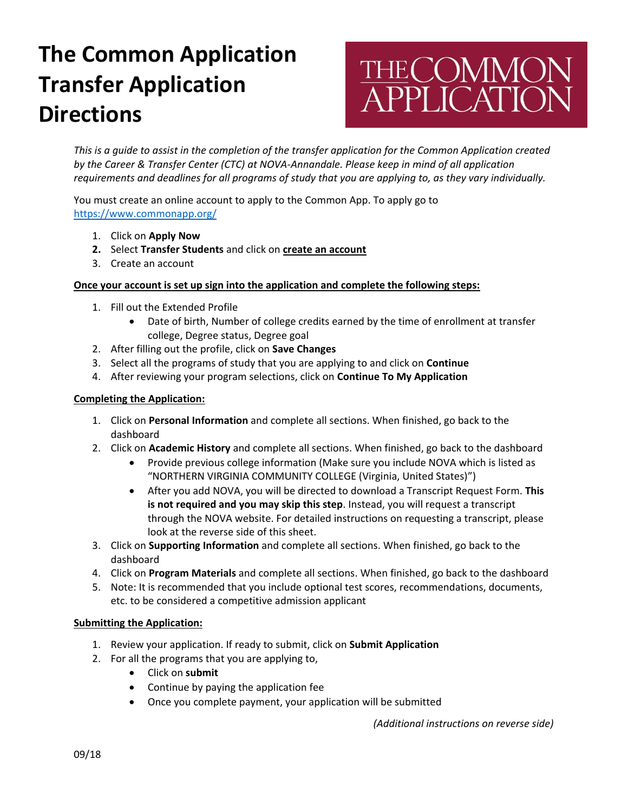# **The Common Application Transfer Application Directions**

# **THECOMMON<br>APPLICATION**

*This is a guide to assist in the completion of the transfer application for the Common Application created by the Career & Transfer Center (CTC) at NOVA-Annandale. Please keep in mind of all application requirements and deadlines for all programs of study that you are applying to, as they vary individually.*

You must create an online account to apply to the Common App. To apply go to <https://www.commonapp.org/>

- 1. Click on **Apply Now**
- **2.** Select **Transfer Students** and click on **create an account**
- 3. Create an account

### **Once your account is set up sign into the application and complete the following steps:**

- 1. Fill out the Extended Profile
	- Date of birth, Number of college credits earned by the time of enrollment at transfer college, Degree status, Degree goal
- 2. After filling out the profile, click on **Save Changes**
- 3. Select all the programs of study that you are applying to and click on **Continue**
- 4. After reviewing your program selections, click on **Continue To My Application**

#### **Completing the Application:**

- 1. Click on **Personal Information** and complete all sections. When finished, go back to the dashboard
- 2. Click on **Academic History** and complete all sections. When finished, go back to the dashboard
	- Provide previous college information (Make sure you include NOVA which is listed as "NORTHERN VIRGINIA COMMUNITY COLLEGE (Virginia, United States)")
	- After you add NOVA, you will be directed to download a Transcript Request Form. **This is not required and you may skip this step**. Instead, you will request a transcript through the NOVA website. For detailed instructions on requesting a transcript, please look at the reverse side of this sheet.
- 3. Click on **Supporting Information** and complete all sections. When finished, go back to the dashboard
- 4. Click on **Program Materials** and complete all sections. When finished, go back to the dashboard
- 5. Note: It is recommended that you include optional test scores, recommendations, documents, etc. to be considered a competitive admission applicant

#### **Submitting the Application:**

- 1. Review your application. If ready to submit, click on **Submit Application**
- 2. For all the programs that you are applying to,
	- Click on **submit**
	- Continue by paying the application fee
	- Once you complete payment, your application will be submitted

*(Additional instructions on reverse side)*